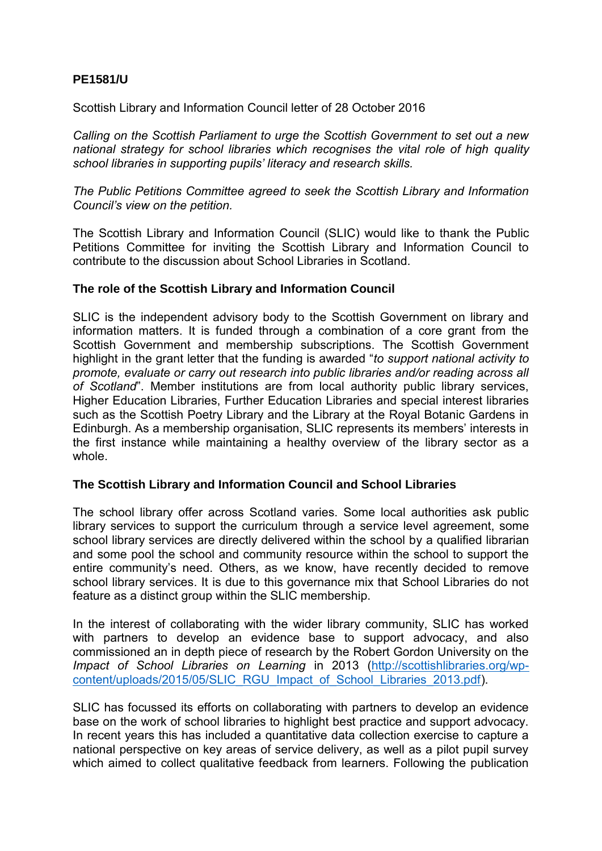# **PE1581/U**

Scottish Library and Information Council letter of 28 October 2016

*Calling on the Scottish Parliament to urge the Scottish Government to set out a new national strategy for school libraries which recognises the vital role of high quality school libraries in supporting pupils' literacy and research skills.* 

*The Public Petitions Committee agreed to seek the Scottish Library and Information Council's view on the petition.* 

The Scottish Library and Information Council (SLIC) would like to thank the Public Petitions Committee for inviting the Scottish Library and Information Council to contribute to the discussion about School Libraries in Scotland.

#### **The role of the Scottish Library and Information Council**

SLIC is the independent advisory body to the Scottish Government on library and information matters. It is funded through a combination of a core grant from the Scottish Government and membership subscriptions. The Scottish Government highlight in the grant letter that the funding is awarded "*to support national activity to promote, evaluate or carry out research into public libraries and/or reading across all of Scotland*". Member institutions are from local authority public library services, Higher Education Libraries, Further Education Libraries and special interest libraries such as the Scottish Poetry Library and the Library at the Royal Botanic Gardens in Edinburgh. As a membership organisation, SLIC represents its members' interests in the first instance while maintaining a healthy overview of the library sector as a whole.

#### **The Scottish Library and Information Council and School Libraries**

The school library offer across Scotland varies. Some local authorities ask public library services to support the curriculum through a service level agreement, some school library services are directly delivered within the school by a qualified librarian and some pool the school and community resource within the school to support the entire community's need. Others, as we know, have recently decided to remove school library services. It is due to this governance mix that School Libraries do not feature as a distinct group within the SLIC membership.

In the interest of collaborating with the wider library community, SLIC has worked with partners to develop an evidence base to support advocacy, and also commissioned an in depth piece of research by the Robert Gordon University on the *Impact of School Libraries on Learning* in 2013 [\(http://scottishlibraries.org/wp](http://scottishlibraries.org/wp-content/uploads/2015/05/SLIC_RGU_Impact_of_School_Libraries_2013.pdf)[content/uploads/2015/05/SLIC\\_RGU\\_Impact\\_of\\_School\\_Libraries\\_2013.pdf\)](http://scottishlibraries.org/wp-content/uploads/2015/05/SLIC_RGU_Impact_of_School_Libraries_2013.pdf).

SLIC has focussed its efforts on collaborating with partners to develop an evidence base on the work of school libraries to highlight best practice and support advocacy. In recent years this has included a quantitative data collection exercise to capture a national perspective on key areas of service delivery, as well as a pilot pupil survey which aimed to collect qualitative feedback from learners. Following the publication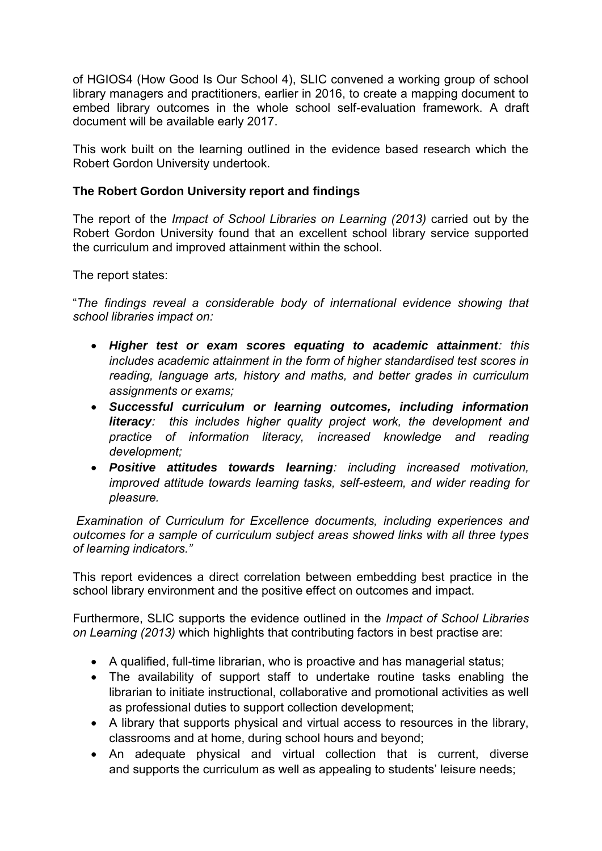of HGIOS4 (How Good Is Our School 4), SLIC convened a working group of school library managers and practitioners, earlier in 2016, to create a mapping document to embed library outcomes in the whole school self-evaluation framework. A draft document will be available early 2017.

This work built on the learning outlined in the evidence based research which the Robert Gordon University undertook.

## **The Robert Gordon University report and findings**

The report of the *Impact of School Libraries on Learning (2013)* carried out by the Robert Gordon University found that an excellent school library service supported the curriculum and improved attainment within the school.

The report states:

"*The findings reveal a considerable body of international evidence showing that school libraries impact on:* 

- *Higher test or exam scores equating to academic attainment: this includes academic attainment in the form of higher standardised test scores in reading, language arts, history and maths, and better grades in curriculum assignments or exams;*
- *Successful curriculum or learning outcomes, including information literacy: this includes higher quality project work, the development and practice of information literacy, increased knowledge and reading development;*
- *Positive attitudes towards learning: including increased motivation, improved attitude towards learning tasks, self-esteem, and wider reading for pleasure.*

 *Examination of Curriculum for Excellence documents, including experiences and outcomes for a sample of curriculum subject areas showed links with all three types of learning indicators."* 

This report evidences a direct correlation between embedding best practice in the school library environment and the positive effect on outcomes and impact.

Furthermore, SLIC supports the evidence outlined in the *Impact of School Libraries on Learning (2013)* which highlights that contributing factors in best practise are:

- A qualified, full-time librarian, who is proactive and has managerial status;
- The availability of support staff to undertake routine tasks enabling the librarian to initiate instructional, collaborative and promotional activities as well as professional duties to support collection development;
- A library that supports physical and virtual access to resources in the library, classrooms and at home, during school hours and beyond;
- An adequate physical and virtual collection that is current, diverse and supports the curriculum as well as appealing to students' leisure needs;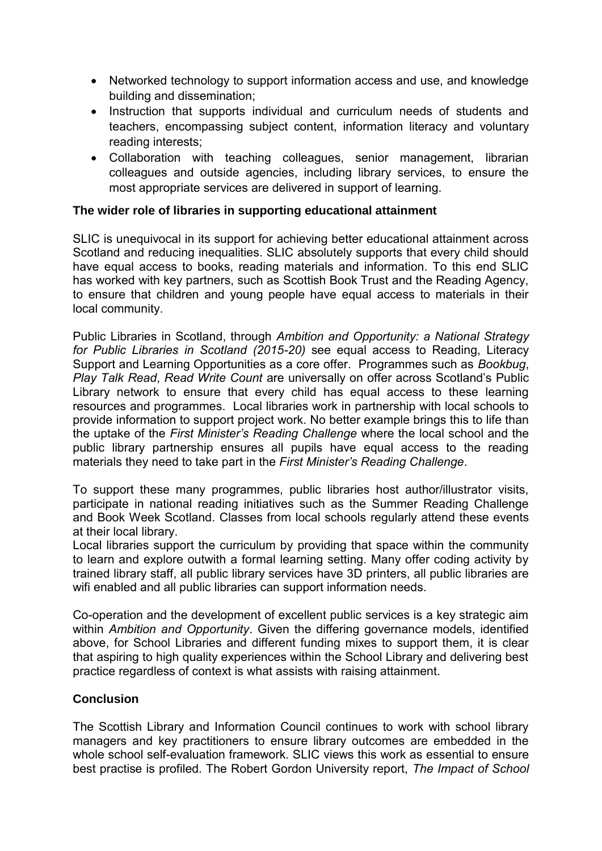- Networked technology to support information access and use, and knowledge building and dissemination;
- Instruction that supports individual and curriculum needs of students and teachers, encompassing subject content, information literacy and voluntary reading interests;
- Collaboration with teaching colleagues, senior management, librarian colleagues and outside agencies, including library services, to ensure the most appropriate services are delivered in support of learning.

### **The wider role of libraries in supporting educational attainment**

SLIC is unequivocal in its support for achieving better educational attainment across Scotland and reducing inequalities. SLIC absolutely supports that every child should have equal access to books, reading materials and information. To this end SLIC has worked with key partners, such as Scottish Book Trust and the Reading Agency, to ensure that children and young people have equal access to materials in their local community.

Public Libraries in Scotland, through *Ambition and Opportunity: a National Strategy for Public Libraries in Scotland (2015-20)* see equal access to Reading, Literacy Support and Learning Opportunities as a core offer. Programmes such as *Bookbug*, *Play Talk Read*, *Read Write Count* are universally on offer across Scotland's Public Library network to ensure that every child has equal access to these learning resources and programmes. Local libraries work in partnership with local schools to provide information to support project work. No better example brings this to life than the uptake of the *First Minister's Reading Challenge* where the local school and the public library partnership ensures all pupils have equal access to the reading materials they need to take part in the *First Minister's Reading Challenge*.

To support these many programmes, public libraries host author/illustrator visits, participate in national reading initiatives such as the Summer Reading Challenge and Book Week Scotland. Classes from local schools regularly attend these events at their local library.

Local libraries support the curriculum by providing that space within the community to learn and explore outwith a formal learning setting. Many offer coding activity by trained library staff, all public library services have 3D printers, all public libraries are wifi enabled and all public libraries can support information needs.

Co-operation and the development of excellent public services is a key strategic aim within *Ambition and Opportunity*. Given the differing governance models, identified above, for School Libraries and different funding mixes to support them, it is clear that aspiring to high quality experiences within the School Library and delivering best practice regardless of context is what assists with raising attainment.

# **Conclusion**

The Scottish Library and Information Council continues to work with school library managers and key practitioners to ensure library outcomes are embedded in the whole school self-evaluation framework. SLIC views this work as essential to ensure best practise is profiled. The Robert Gordon University report, *The Impact of School*